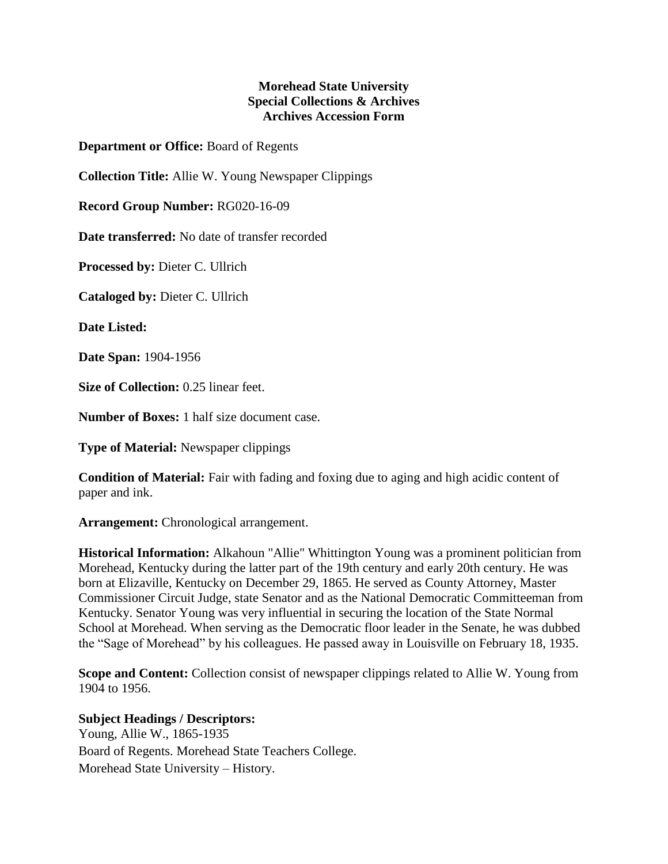## **Morehead State University Special Collections & Archives Archives Accession Form**

**Department or Office:** Board of Regents

**Collection Title:** Allie W. Young Newspaper Clippings

**Record Group Number:** RG020-16-09

**Date transferred:** No date of transfer recorded

**Processed by:** Dieter C. Ullrich

**Cataloged by:** Dieter C. Ullrich

**Date Listed:**

**Date Span:** 1904-1956

**Size of Collection:** 0.25 linear feet.

**Number of Boxes:** 1 half size document case.

**Type of Material:** Newspaper clippings

**Condition of Material:** Fair with fading and foxing due to aging and high acidic content of paper and ink.

**Arrangement:** Chronological arrangement.

**Historical Information:** Alkahoun "Allie" Whittington Young was a prominent politician from Morehead, Kentucky during the latter part of the 19th century and early 20th century. He was born at Elizaville, Kentucky on December 29, 1865. He served as County Attorney, Master Commissioner Circuit Judge, state Senator and as the National Democratic Committeeman from Kentucky. Senator Young was very influential in securing the location of the State Normal School at Morehead. When serving as the Democratic floor leader in the Senate, he was dubbed the "Sage of Morehead" by his colleagues. He passed away in Louisville on February 18, 1935.

**Scope and Content:** Collection consist of newspaper clippings related to Allie W. Young from 1904 to 1956.

**Subject Headings / Descriptors:**

Young, Allie W., 1865-1935 Board of Regents. Morehead State Teachers College. Morehead State University – History.